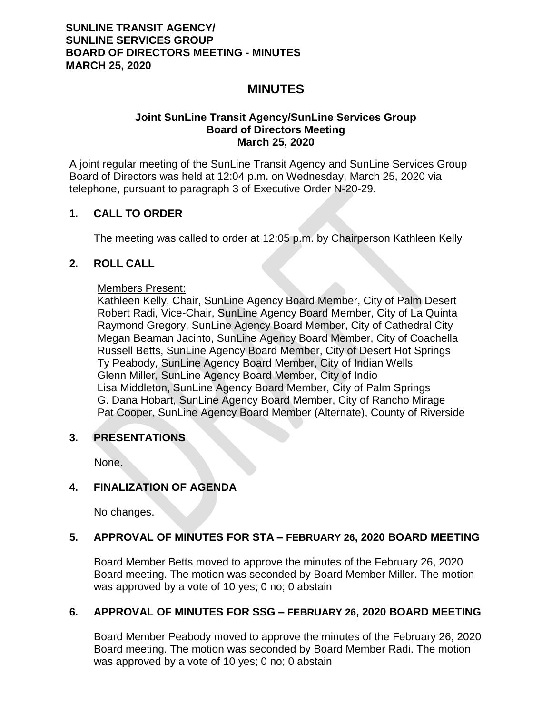# **MINUTES**

### **Joint SunLine Transit Agency/SunLine Services Group Board of Directors Meeting March 25, 2020**

A joint regular meeting of the SunLine Transit Agency and SunLine Services Group Board of Directors was held at 12:04 p.m. on Wednesday, March 25, 2020 via telephone, pursuant to paragraph 3 of Executive Order N-20-29.

## **1. CALL TO ORDER**

The meeting was called to order at 12:05 p.m. by Chairperson Kathleen Kelly

## **2. ROLL CALL**

### Members Present:

Kathleen Kelly, Chair, SunLine Agency Board Member, City of Palm Desert Robert Radi, Vice-Chair, SunLine Agency Board Member, City of La Quinta Raymond Gregory, SunLine Agency Board Member, City of Cathedral City Megan Beaman Jacinto, SunLine Agency Board Member, City of Coachella Russell Betts, SunLine Agency Board Member, City of Desert Hot Springs Ty Peabody, SunLine Agency Board Member, City of Indian Wells Glenn Miller, SunLine Agency Board Member, City of Indio Lisa Middleton, SunLine Agency Board Member, City of Palm Springs G. Dana Hobart, SunLine Agency Board Member, City of Rancho Mirage Pat Cooper, SunLine Agency Board Member (Alternate), County of Riverside

## **3. PRESENTATIONS**

None.

## **4. FINALIZATION OF AGENDA**

No changes.

## **5. APPROVAL OF MINUTES FOR STA – FEBRUARY 26, 2020 BOARD MEETING**

Board Member Betts moved to approve the minutes of the February 26, 2020 Board meeting. The motion was seconded by Board Member Miller. The motion was approved by a vote of 10 yes; 0 no; 0 abstain

## **6. APPROVAL OF MINUTES FOR SSG – FEBRUARY 26, 2020 BOARD MEETING**

Board Member Peabody moved to approve the minutes of the February 26, 2020 Board meeting. The motion was seconded by Board Member Radi. The motion was approved by a vote of 10 yes; 0 no; 0 abstain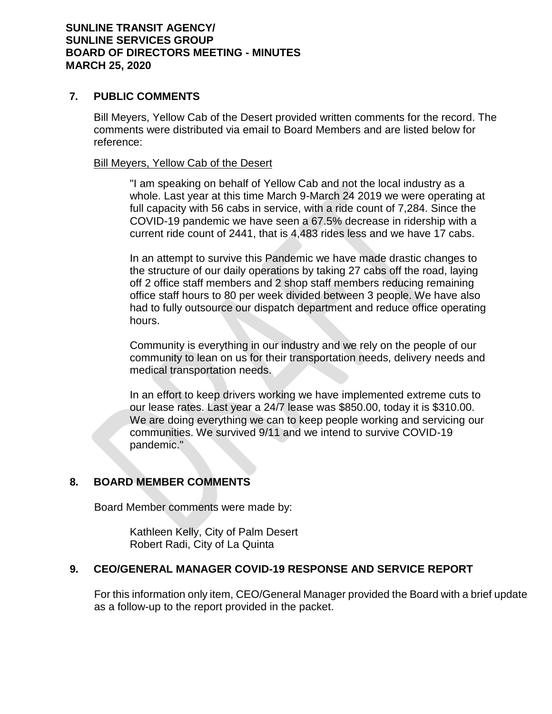### **7. PUBLIC COMMENTS**

Bill Meyers, Yellow Cab of the Desert provided written comments for the record. The comments were distributed via email to Board Members and are listed below for reference:

#### Bill Meyers, Yellow Cab of the Desert

"I am speaking on behalf of Yellow Cab and not the local industry as a whole. Last year at this time March 9-March 24 2019 we were operating at full capacity with 56 cabs in service, with a ride count of 7,284. Since the COVID-19 pandemic we have seen a 67.5% decrease in ridership with a current ride count of 2441, that is 4,483 rides less and we have 17 cabs.

In an attempt to survive this Pandemic we have made drastic changes to the structure of our daily operations by taking 27 cabs off the road, laying off 2 office staff members and 2 shop staff members reducing remaining office staff hours to 80 per week divided between 3 people. We have also had to fully outsource our dispatch department and reduce office operating hours.

Community is everything in our industry and we rely on the people of our community to lean on us for their transportation needs, delivery needs and medical transportation needs.

In an effort to keep drivers working we have implemented extreme cuts to our lease rates. Last year a 24/7 lease was \$850.00, today it is \$310.00. We are doing everything we can to keep people working and servicing our communities. We survived 9/11 and we intend to survive COVID-19 pandemic."

## **8. BOARD MEMBER COMMENTS**

Board Member comments were made by:

Kathleen Kelly, City of Palm Desert Robert Radi, City of La Quinta

## **9. CEO/GENERAL MANAGER COVID-19 RESPONSE AND SERVICE REPORT**

For this information only item, CEO/General Manager provided the Board with a brief update as a follow-up to the report provided in the packet.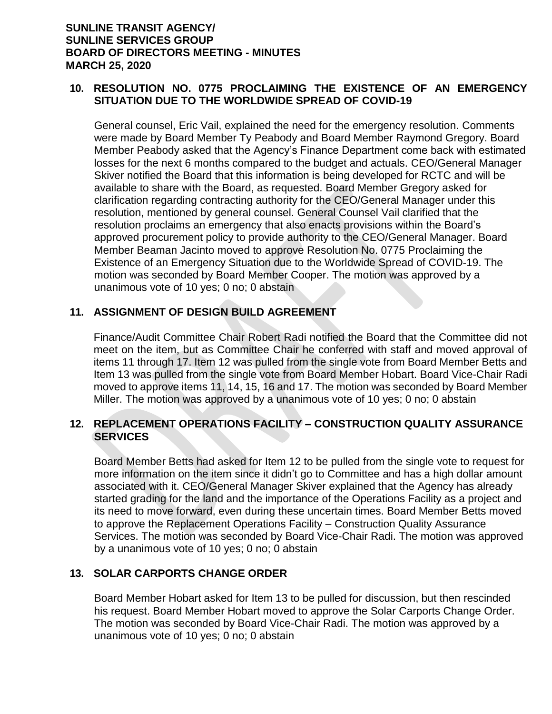## **10. RESOLUTION NO. 0775 PROCLAIMING THE EXISTENCE OF AN EMERGENCY SITUATION DUE TO THE WORLDWIDE SPREAD OF COVID-19**

General counsel, Eric Vail, explained the need for the emergency resolution. Comments were made by Board Member Ty Peabody and Board Member Raymond Gregory. Board Member Peabody asked that the Agency's Finance Department come back with estimated losses for the next 6 months compared to the budget and actuals. CEO/General Manager Skiver notified the Board that this information is being developed for RCTC and will be available to share with the Board, as requested. Board Member Gregory asked for clarification regarding contracting authority for the CEO/General Manager under this resolution, mentioned by general counsel. General Counsel Vail clarified that the resolution proclaims an emergency that also enacts provisions within the Board's approved procurement policy to provide authority to the CEO/General Manager. Board Member Beaman Jacinto moved to approve Resolution No. 0775 Proclaiming the Existence of an Emergency Situation due to the Worldwide Spread of COVID-19. The motion was seconded by Board Member Cooper. The motion was approved by a unanimous vote of 10 yes; 0 no; 0 abstain

## **11. ASSIGNMENT OF DESIGN BUILD AGREEMENT**

Finance/Audit Committee Chair Robert Radi notified the Board that the Committee did not meet on the item, but as Committee Chair he conferred with staff and moved approval of items 11 through 17. Item 12 was pulled from the single vote from Board Member Betts and Item 13 was pulled from the single vote from Board Member Hobart. Board Vice-Chair Radi moved to approve items 11, 14, 15, 16 and 17. The motion was seconded by Board Member Miller. The motion was approved by a unanimous vote of 10 yes; 0 no; 0 abstain

## **12. REPLACEMENT OPERATIONS FACILITY – CONSTRUCTION QUALITY ASSURANCE SERVICES**

Board Member Betts had asked for Item 12 to be pulled from the single vote to request for more information on the item since it didn't go to Committee and has a high dollar amount associated with it. CEO/General Manager Skiver explained that the Agency has already started grading for the land and the importance of the Operations Facility as a project and its need to move forward, even during these uncertain times. Board Member Betts moved to approve the Replacement Operations Facility – Construction Quality Assurance Services. The motion was seconded by Board Vice-Chair Radi. The motion was approved by a unanimous vote of 10 yes; 0 no; 0 abstain

## **13. SOLAR CARPORTS CHANGE ORDER**

Board Member Hobart asked for Item 13 to be pulled for discussion, but then rescinded his request. Board Member Hobart moved to approve the Solar Carports Change Order. The motion was seconded by Board Vice-Chair Radi. The motion was approved by a unanimous vote of 10 yes; 0 no; 0 abstain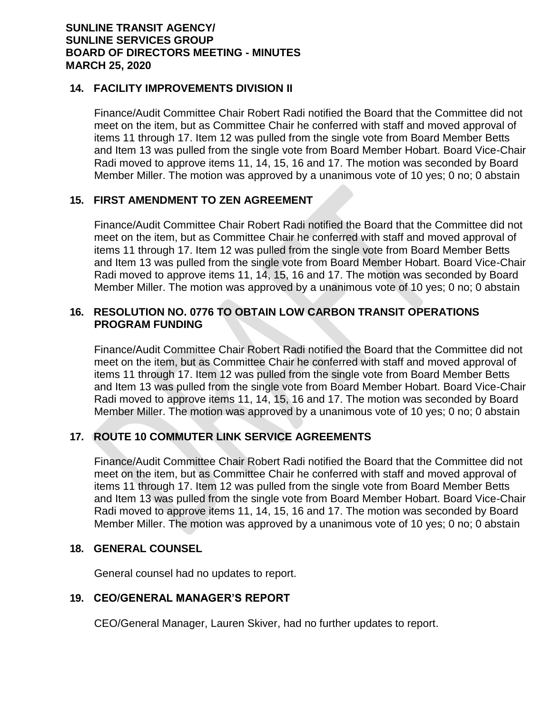### **14. FACILITY IMPROVEMENTS DIVISION II**

Finance/Audit Committee Chair Robert Radi notified the Board that the Committee did not meet on the item, but as Committee Chair he conferred with staff and moved approval of items 11 through 17. Item 12 was pulled from the single vote from Board Member Betts and Item 13 was pulled from the single vote from Board Member Hobart. Board Vice-Chair Radi moved to approve items 11, 14, 15, 16 and 17. The motion was seconded by Board Member Miller. The motion was approved by a unanimous vote of 10 yes; 0 no; 0 abstain

## **15. FIRST AMENDMENT TO ZEN AGREEMENT**

Finance/Audit Committee Chair Robert Radi notified the Board that the Committee did not meet on the item, but as Committee Chair he conferred with staff and moved approval of items 11 through 17. Item 12 was pulled from the single vote from Board Member Betts and Item 13 was pulled from the single vote from Board Member Hobart. Board Vice-Chair Radi moved to approve items 11, 14, 15, 16 and 17. The motion was seconded by Board Member Miller. The motion was approved by a unanimous vote of 10 yes; 0 no; 0 abstain

## **16. RESOLUTION NO. 0776 TO OBTAIN LOW CARBON TRANSIT OPERATIONS PROGRAM FUNDING**

Finance/Audit Committee Chair Robert Radi notified the Board that the Committee did not meet on the item, but as Committee Chair he conferred with staff and moved approval of items 11 through 17. Item 12 was pulled from the single vote from Board Member Betts and Item 13 was pulled from the single vote from Board Member Hobart. Board Vice-Chair Radi moved to approve items 11, 14, 15, 16 and 17. The motion was seconded by Board Member Miller. The motion was approved by a unanimous vote of 10 yes; 0 no; 0 abstain

## **17. ROUTE 10 COMMUTER LINK SERVICE AGREEMENTS**

Finance/Audit Committee Chair Robert Radi notified the Board that the Committee did not meet on the item, but as Committee Chair he conferred with staff and moved approval of items 11 through 17. Item 12 was pulled from the single vote from Board Member Betts and Item 13 was pulled from the single vote from Board Member Hobart. Board Vice-Chair Radi moved to approve items 11, 14, 15, 16 and 17. The motion was seconded by Board Member Miller. The motion was approved by a unanimous vote of 10 yes; 0 no; 0 abstain

#### **18. GENERAL COUNSEL**

General counsel had no updates to report.

## **19. CEO/GENERAL MANAGER'S REPORT**

CEO/General Manager, Lauren Skiver, had no further updates to report.